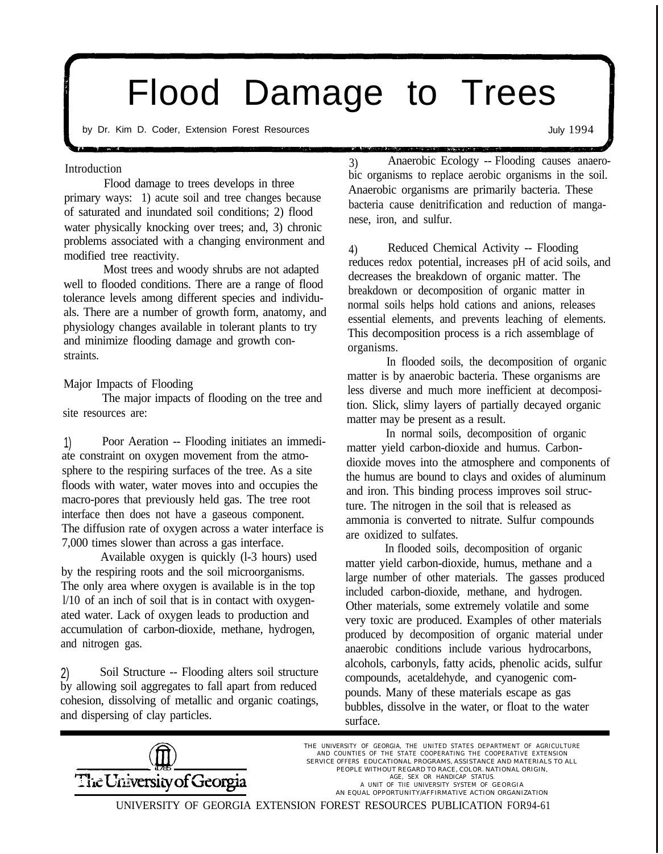# Flood Damage to Trees

by Dr. Kim D. Coder, Extension Forest Resources and the state of the state of the state of the July 1994

#### Introduction

Flood damage to trees develops in three primary ways: 1) acute soil and tree changes because of saturated and inundated soil conditions; 2) flood water physically knocking over trees; and, 3) chronic problems associated with a changing environment and modified tree reactivity.

Most trees and woody shrubs are not adapted well to flooded conditions. There are a range of flood tolerance levels among different species and individuals. There are a number of growth form, anatomy, and physiology changes available in tolerant plants to try and minimize flooding damage and growth constraints.

Major Impacts of Flooding

The major impacts of flooding on the tree and site resources are:

1) Poor Aeration -- Flooding initiates an immediate constraint on oxygen movement from the atmosphere to the respiring surfaces of the tree. As a site floods with water, water moves into and occupies the macro-pores that previously held gas. The tree root interface then does not have a gaseous component. The diffusion rate of oxygen across a water interface is 7,000 times slower than across a gas interface.

Available oxygen is quickly (l-3 hours) used by the respiring roots and the soil microorganisms. The only area where oxygen is available is in the top l/10 of an inch of soil that is in contact with oxygenated water. Lack of oxygen leads to production and accumulation of carbon-dioxide, methane, hydrogen, and nitrogen gas.

2) Soil Structure -- Flooding alters soil structure by allowing soil aggregates to fall apart from reduced cohesion, dissolving of metallic and organic coatings, and dispersing of clay particles.

3) Anaerobic Ecology -- Flooding causes anaerobic organisms to replace aerobic organisms in the soil. Anaerobic organisms are primarily bacteria. These bacteria cause denitrification and reduction of manganese, iron, and sulfur.

4) Reduced Chemical Activity -- Flooding reduces redox potential, increases pH of acid soils, and decreases the breakdown of organic matter. The breakdown or decomposition of organic matter in normal soils helps hold cations and anions, releases essential elements, and prevents leaching of elements. This decomposition process is a rich assemblage of organisms.

In flooded soils, the decomposition of organic matter is by anaerobic bacteria. These organisms are less diverse and much more inefficient at decomposition. Slick, slimy layers of partially decayed organic matter may be present as a result.

In normal soils, decomposition of organic matter yield carbon-dioxide and humus. Carbondioxide moves into the atmosphere and components of the humus are bound to clays and oxides of aluminum and iron. This binding process improves soil structure. The nitrogen in the soil that is released as ammonia is converted to nitrate. Sulfur compounds are oxidized to sulfates.

In flooded soils, decomposition of organic matter yield carbon-dioxide, humus, methane and a large number of other materials. The gasses produced included carbon-dioxide, methane, and hydrogen. Other materials, some extremely volatile and some very toxic are produced. Examples of other materials produced by decomposition of organic material under anaerobic conditions include various hydrocarbons, alcohols, carbonyls, fatty acids, phenolic acids, sulfur compounds, acetaldehyde, and cyanogenic compounds. Many of these materials escape as gas bubbles, dissolve in the water, or float to the water surface.



THE UNIVERSITY OF GEORGIA, THE UNITED STATES DEPARTMENT OF AGRICULTURE AND COUNTIES OF THE STATE COOPERATING THE COOPERATIVE EXTENSION SERVICE OFFERS EDUCATIONAL PROGRAMS, ASSISTANCE AND MATERIALS TO ALL THE UNIVERSITY OF GEORGIA AGE, SEX OR HANDICAP STATUS.<br>A UNIT OF TIIE UNIVERSITY SYSTEM OF GEORGIA<br>AN EQUAL OPPORTUNITY/AFFIRMATIVE ACTION ORGANIZATION

UNIVERSITY OF GEORGIA EXTENSION FOREST RESOURCES PUBLICATION FOR94-61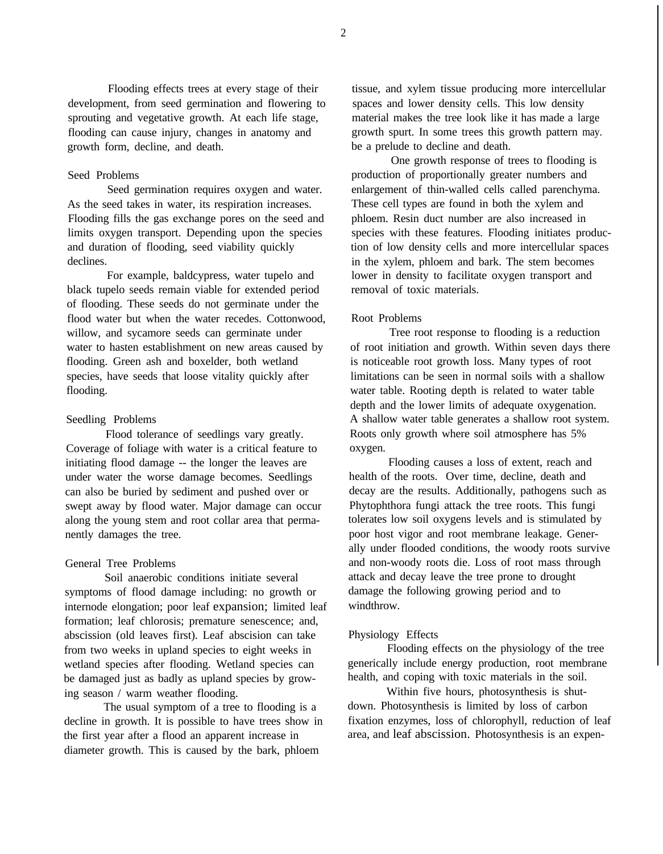Flooding effects trees at every stage of their development, from seed germination and flowering to sprouting and vegetative growth. At each life stage, flooding can cause injury, changes in anatomy and growth form, decline, and death.

### Seed Problems

Seed germination requires oxygen and water. As the seed takes in water, its respiration increases. Flooding fills the gas exchange pores on the seed and limits oxygen transport. Depending upon the species and duration of flooding, seed viability quickly declines.

For example, baldcypress, water tupelo and black tupelo seeds remain viable for extended period of flooding. These seeds do not germinate under the flood water but when the water recedes. Cottonwood, willow, and sycamore seeds can germinate under water to hasten establishment on new areas caused by flooding. Green ash and boxelder, both wetland species, have seeds that loose vitality quickly after flooding.

#### Seedling Problems

Flood tolerance of seedlings vary greatly. Coverage of foliage with water is a critical feature to initiating flood damage -- the longer the leaves are under water the worse damage becomes. Seedlings can also be buried by sediment and pushed over or swept away by flood water. Major damage can occur along the young stem and root collar area that permanently damages the tree.

#### General Tree Problems

Soil anaerobic conditions initiate several symptoms of flood damage including: no growth or internode elongation; poor leaf expansion; limited leaf formation; leaf chlorosis; premature senescence; and, abscission (old leaves first). Leaf abscision can take from two weeks in upland species to eight weeks in wetland species after flooding. Wetland species can be damaged just as badly as upland species by growing season / warm weather flooding.

The usual symptom of a tree to flooding is a decline in growth. It is possible to have trees show in the first year after a flood an apparent increase in diameter growth. This is caused by the bark, phloem

tissue, and xylem tissue producing more intercellular spaces and lower density cells. This low density material makes the tree look like it has made a large growth spurt. In some trees this growth pattern may. be a prelude to decline and death.

One growth response of trees to flooding is production of proportionally greater numbers and enlargement of thin-walled cells called parenchyma. These cell types are found in both the xylem and phloem. Resin duct number are also increased in species with these features. Flooding initiates production of low density cells and more intercellular spaces in the xylem, phloem and bark. The stem becomes lower in density to facilitate oxygen transport and removal of toxic materials.

#### Root Problems

Tree root response to flooding is a reduction of root initiation and growth. Within seven days there is noticeable root growth loss. Many types of root limitations can be seen in normal soils with a shallow water table. Rooting depth is related to water table depth and the lower limits of adequate oxygenation. A shallow water table generates a shallow root system. Roots only growth where soil atmosphere has 5% oxygen.

Flooding causes a loss of extent, reach and health of the roots. Over time, decline, death and decay are the results. Additionally, pathogens such as Phytophthora fungi attack the tree roots. This fungi tolerates low soil oxygens levels and is stimulated by poor host vigor and root membrane leakage. Generally under flooded conditions, the woody roots survive and non-woody roots die. Loss of root mass through attack and decay leave the tree prone to drought damage the following growing period and to windthrow.

#### Physiology Effects

Flooding effects on the physiology of the tree generically include energy production, root membrane health, and coping with toxic materials in the soil.

Within five hours, photosynthesis is shutdown. Photosynthesis is limited by loss of carbon fixation enzymes, loss of chlorophyll, reduction of leaf area, and leaf abscission. Photosynthesis is an expen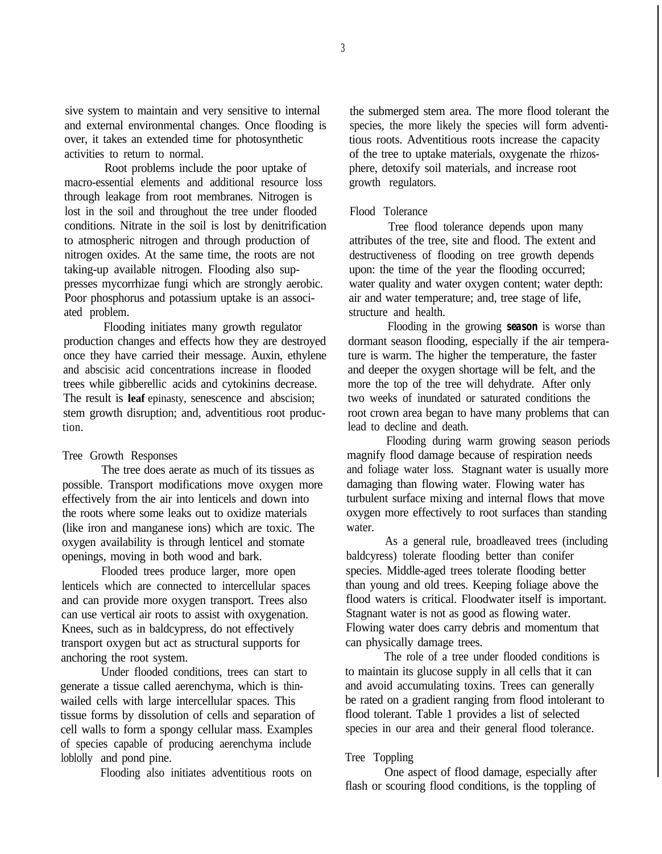sive system to maintain and very sensitive to internal and external environmental changes. Once flooding is over, it takes an extended time for photosynthetic activities to return to normal.

Root problems include the poor uptake of macro-essential elements and additional resource loss through leakage from root membranes. Nitrogen is lost in the soil and throughout the tree under flooded conditions. Nitrate in the soil is lost by denitrification to atmospheric nitrogen and through production of nitrogen oxides. At the same time, the roots are not taking-up available nitrogen. Flooding also suppresses mycorrhizae fungi which are strongly aerobic. Poor phosphorus and potassium uptake is an associated problem.

Flooding initiates many growth regulator production changes and effects how they are destroyed once they have carried their message. Auxin, ethylene and abscisic acid concentrations increase in flooded trees while gibberellic acids and cytokinins decrease. The result is **leaf** epinasty, senescence and abscision; stem growth disruption; and, adventitious root production.

#### Tree Growth Responses

The tree does aerate as much of its tissues as possible. Transport modifications move oxygen more effectively from the air into lenticels and down into the roots where some leaks out to oxidize materials (like iron and manganese ions) which are toxic. The oxygen availability is through lenticel and stomate openings, moving in both wood and bark.

Flooded trees produce larger, more open lenticels which are connected to intercellular spaces and can provide more oxygen transport. Trees also can use vertical air roots to assist with oxygenation. Knees, such as in baldcypress, do not effectively transport oxygen but act as structural supports for anchoring the root system.

Under flooded conditions, trees can start to generate a tissue called aerenchyma, which is thinwailed cells with large intercellular spaces. This tissue forms by dissolution of cells and separation of cell walls to form a spongy cellular mass. Examples of species capable of producing aerenchyma include loblolly and pond pine.

Flooding also initiates adventitious roots on

the submerged stem area. The more flood tolerant the species, the more likely the species will form adventitious roots. Adventitious roots increase the capacity of the tree to uptake materials, oxygenate the rhizosphere, detoxify soil materials, and increase root growth regulators.

#### Flood Tolerance

Tree flood tolerance depends upon many attributes of the tree, site and flood. The extent and destructiveness of flooding on tree growth depends upon: the time of the year the flooding occurred; water quality and water oxygen content; water depth: air and water temperature; and, tree stage of life, structure and health.

Flooding in the growing *season* is worse than dormant season flooding, especially if the air temperature is warm. The higher the temperature, the faster and deeper the oxygen shortage will be felt, and the more the top of the tree will dehydrate. After only two weeks of inundated or saturated conditions the root crown area began to have many problems that can lead to decline and death.

Flooding during warm growing season periods magnify flood damage because of respiration needs and foliage water loss. Stagnant water is usually more damaging than flowing water. Flowing water has turbulent surface mixing and internal flows that move oxygen more effectively to root surfaces than standing water.

As a general rule, broadleaved trees (including baldcyress) tolerate flooding better than conifer species. Middle-aged trees tolerate flooding better than young and old trees. Keeping foliage above the flood waters is critical. Floodwater itself is important. Stagnant water is not as good as flowing water. Flowing water does carry debris and momentum that can physically damage trees.

The role of a tree under flooded conditions is to maintain its glucose supply in all cells that it can and avoid accumulating toxins. Trees can generally be rated on a gradient ranging from flood intolerant to flood tolerant. Table 1 provides a list of selected species in our area and their general flood tolerance.

#### Tree Toppling

One aspect of flood damage, especially after flash or scouring flood conditions, is the toppling of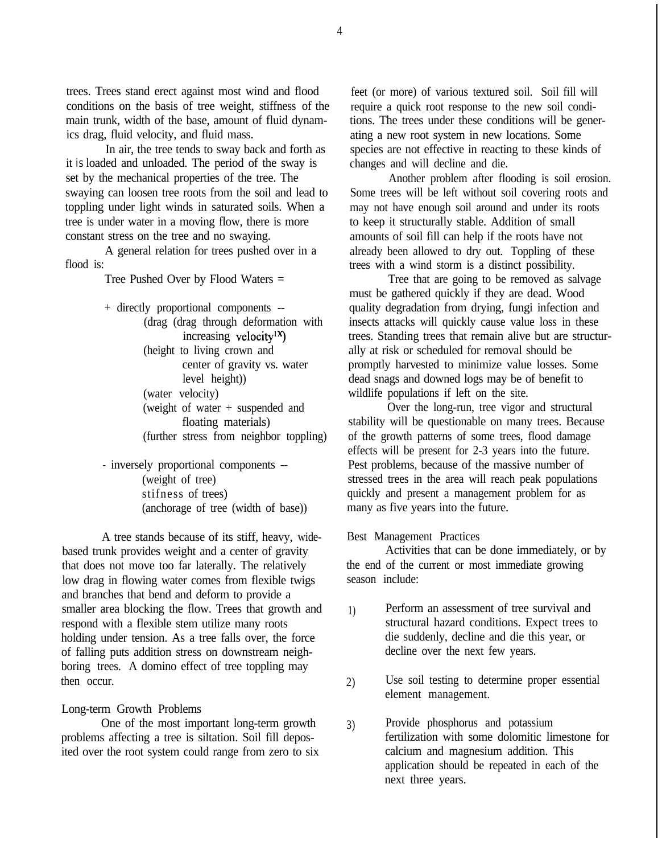trees. Trees stand erect against most wind and flood conditions on the basis of tree weight, stiffness of the main trunk, width of the base, amount of fluid dynamics drag, fluid velocity, and fluid mass.

In air, the tree tends to sway back and forth as it *is* loaded and unloaded. The period of the sway is set by the mechanical properties of the tree. The swaying can loosen tree roots from the soil and lead to toppling under light winds in saturated soils. When a tree is under water in a moving flow, there is more constant stress on the tree and no swaying.

A general relation for trees pushed over in a flood is:

Tree Pushed Over by Flood Waters =

- + directly proportional components -- (drag (drag through deformation with increasing velocity'x) (height to living crown and center of gravity vs. water level height)) (water velocity) (weight of water + suspended and floating materials) (further stress from neighbor toppling)
- inversely proportional components -- (weight of tree) stifness of trees) (anchorage of tree (width of base))

A tree stands because of its stiff, heavy, widebased trunk provides weight and a center of gravity that does not move too far laterally. The relatively low drag in flowing water comes from flexible twigs and branches that bend and deform to provide a smaller area blocking the flow. Trees that growth and respond with a flexible stem utilize many roots holding under tension. As a tree falls over, the force of falling puts addition stress on downstream neighboring trees. A domino effect of tree toppling may then occur.

#### Long-term Growth Problems

One of the most important long-term growth problems affecting a tree is siltation. Soil fill deposited over the root system could range from zero to six

feet (or more) of various textured soil. Soil fill will require a quick root response to the new soil conditions. The trees under these conditions will be generating a new root system in new locations. Some species are not effective in reacting to these kinds of changes and will decline and die.

Another problem after flooding is soil erosion. Some trees will be left without soil covering roots and may not have enough soil around and under its roots to keep it structurally stable. Addition of small amounts of soil fill can help if the roots have not already been allowed to dry out. Toppling of these trees with a wind storm is a distinct possibility.

Tree that are going to be removed as salvage must be gathered quickly if they are dead. Wood quality degradation from drying, fungi infection and insects attacks will quickly cause value loss in these trees. Standing trees that remain alive but are structurally at risk or scheduled for removal should be promptly harvested to minimize value losses. Some dead snags and downed logs may be of benefit to wildlife populations if left on the site.

Over the long-run, tree vigor and structural stability will be questionable on many trees. Because of the growth patterns of some trees, flood damage effects will be present for 2-3 years into the future. Pest problems, because of the massive number of stressed trees in the area will reach peak populations quickly and present a management problem for as many as five years into the future.

#### Best Management Practices

Activities that can be done immediately, or by the end of the current or most immediate growing season include:

- 1) Perform an assessment of tree survival and structural hazard conditions. Expect trees to die suddenly, decline and die this year, or decline over the next few years.
- 2) Use soil testing to determine proper essential element management.
- 3) Provide phosphorus and potassium fertilization with some dolomitic limestone for calcium and magnesium addition. This application should be repeated in each of the next three years.